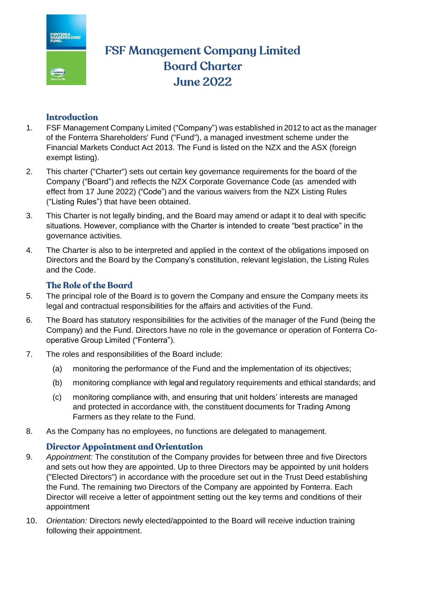

# **FSF Management Company Limited Board Charter June 2022**

## **Introduction**

- 1. FSF Management Company Limited ("Company") was established in 2012 to act as the manager of the Fonterra Shareholders' Fund ("Fund"), a managed investment scheme under the Financial Markets Conduct Act 2013. The Fund is listed on the NZX and the ASX (foreign exempt listing).
- 2. This charter ("Charter") sets out certain key governance requirements for the board of the Company ("Board") and reflects the NZX Corporate Governance Code (as amended with effect from 17 June 2022) ("Code") and the various waivers from the NZX Listing Rules ("Listing Rules") that have been obtained.
- 3. This Charter is not legally binding, and the Board may amend or adapt it to deal with specific situations. However, compliance with the Charter is intended to create "best practice" in the governance activities.
- 4. The Charter is also to be interpreted and applied in the context of the obligations imposed on Directors and the Board by the Company's constitution, relevant legislation, the Listing Rules and the Code.

# The Role of the Board

- 5. The principal role of the Board is to govern the Company and ensure the Company meets its legal and contractual responsibilities for the affairs and activities of the Fund.
- 6. The Board has statutory responsibilities for the activities of the manager of the Fund (being the Company) and the Fund. Directors have no role in the governance or operation of Fonterra Cooperative Group Limited ("Fonterra").
- 7. The roles and responsibilities of the Board include:
	- (a) monitoring the performance of the Fund and the implementation of its objectives;
	- (b) monitoring compliance with legal and regulatory requirements and ethical standards; and
	- (c) monitoring compliance with, and ensuring that unit holders' interests are managed and protected in accordance with, the constituent documents for Trading Among Farmers as they relate to the Fund.
- 8. As the Company has no employees, no functions are delegated to management.

#### **Director Appointment and Orientation**

- 9. *Appointment:* The constitution of the Company provides for between three and five Directors and sets out how they are appointed. Up to three Directors may be appointed by unit holders ("Elected Directors") in accordance with the procedure set out in the Trust Deed establishing the Fund. The remaining two Directors of the Company are appointed by Fonterra. Each Director will receive a letter of appointment setting out the key terms and conditions of their appointment
- 10. *Orientation:* Directors newly elected/appointed to the Board will receive induction training following their appointment.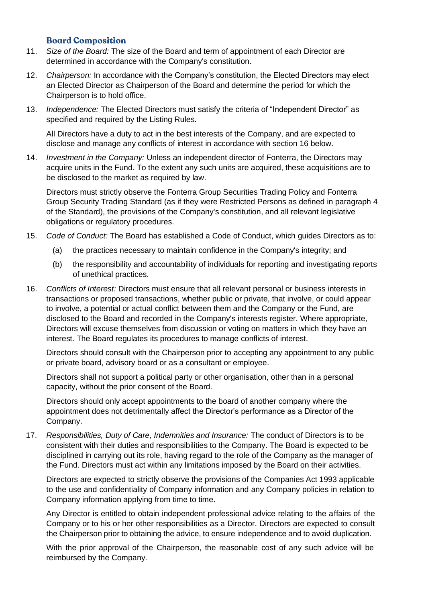#### **Board Composition**

- 11. *Size of the Board:* The size of the Board and term of appointment of each Director are determined in accordance with the Company's constitution.
- 12. *Chairperson:* In accordance with the Company's constitution, the Elected Directors may elect an Elected Director as Chairperson of the Board and determine the period for which the Chairperson is to hold office.
- 13. *Independence:* The Elected Directors must satisfy the criteria of "Independent Director" as specified and required by the Listing Rules.

All Directors have a duty to act in the best interests of the Company, and are expected to disclose and manage any conflicts of interest in accordance with section [16](#page-1-0) [below.](#page-1-0)

14. *Investment in the Company:* Unless an independent director of Fonterra, the Directors may acquire units in the Fund. To the extent any such units are acquired, these acquisitions are to be disclosed to the market as required by law.

Directors must strictly observe the Fonterra Group Securities Trading Policy and Fonterra Group Security Trading Standard (as if they were Restricted Persons as defined in paragraph 4 of the Standard), the provisions of the Company's constitution, and all relevant legislative obligations or regulatory procedures.

- 15. *Code of Conduct:* The Board has established a Code of Conduct, which guides Directors as to:
	- (a) the practices necessary to maintain confidence in the Company's integrity; and
	- (b) the responsibility and accountability of individuals for reporting and investigating reports of unethical practices.
- <span id="page-1-0"></span>16. *Conflicts of Interest:* Directors must ensure that all relevant personal or business interests in transactions or proposed transactions, whether public or private, that involve, or could appear to involve, a potential or actual conflict between them and the Company or the Fund, are disclosed to the Board and recorded in the Company's interests register. Where appropriate, Directors will excuse themselves from discussion or voting on matters in which they have an interest. The Board regulates its procedures to manage conflicts of interest.

Directors should consult with the Chairperson prior to accepting any appointment to any public or private board, advisory board or as a consultant or employee.

Directors shall not support a political party or other organisation, other than in a personal capacity, without the prior consent of the Board.

Directors should only accept appointments to the board of another company where the appointment does not detrimentally affect the Director's performance as a Director of the Company.

17. *Responsibilities, Duty of Care, Indemnities and Insurance:* The conduct of Directors is to be consistent with their duties and responsibilities to the Company. The Board is expected to be disciplined in carrying out its role, having regard to the role of the Company as the manager of the Fund. Directors must act within any limitations imposed by the Board on their activities.

Directors are expected to strictly observe the provisions of the Companies Act 1993 applicable to the use and confidentiality of Company information and any Company policies in relation to Company information applying from time to time.

Any Director is entitled to obtain independent professional advice relating to the affairs of the Company or to his or her other responsibilities as a Director. Directors are expected to consult the Chairperson prior to obtaining the advice, to ensure independence and to avoid duplication.

With the prior approval of the Chairperson, the reasonable cost of any such advice will be reimbursed by the Company.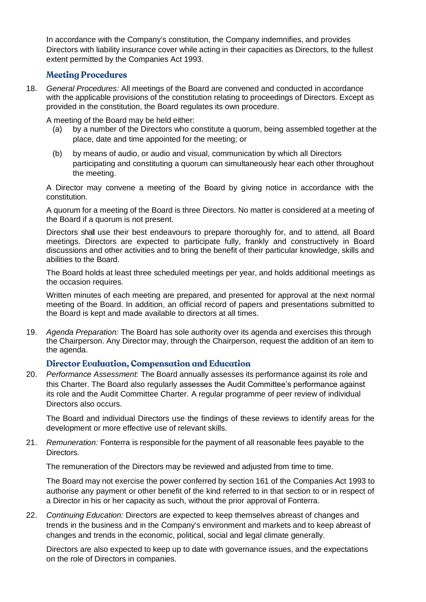In accordance with the Company's constitution, the Company indemnifies, and provides Directors with liability insurance cover while acting in their capacities as Directors, to the fullest extent permitted by the Companies Act 1993.

#### **Meeting Procedures**

18. *General Procedures:* All meetings of the Board are convened and conducted in accordance with the applicable provisions of the constitution relating to proceedings of Directors. Except as provided in the constitution, the Board regulates its own procedure.

A meeting of the Board may be held either:

- (a) by a number of the Directors who constitute a quorum, being assembled together at the place, date and time appointed for the meeting; or
- (b) by means of audio, or audio and visual, communication by which all Directors participating and constituting a quorum can simultaneously hear each other throughout the meeting.

A Director may convene a meeting of the Board by giving notice in accordance with the constitution.

A quorum for a meeting of the Board is three Directors. No matter is considered at a meeting of the Board if a quorum is not present.

Directors shall use their best endeavours to prepare thoroughly for, and to attend, all Board meetings. Directors are expected to participate fully, frankly and constructively in Board discussions and other activities and to bring the benefit of their particular knowledge, skills and abilities to the Board.

The Board holds at least three scheduled meetings per year, and holds additional meetings as the occasion requires.

Written minutes of each meeting are prepared, and presented for approval at the next normal meeting of the Board. In addition, an official record of papers and presentations submitted to the Board is kept and made available to directors at all times.

19. *Agenda Preparation:* The Board has sole authority over its agenda and exercises this through the Chairperson. Any Director may, through the Chairperson, request the addition of an item to the agenda.

#### **Director Evaluation, Compensation and Education**

20. *Performance Assessment:* The Board annually assesses its performance against its role and this Charter. The Board also regularly assesses the Audit Committee's performance against its role and the Audit Committee Charter. A regular programme of peer review of individual Directors also occurs.

The Board and individual Directors use the findings of these reviews to identify areas for the development or more effective use of relevant skills.

21. *Remuneration:* Fonterra is responsible for the payment of all reasonable fees payable to the Directors.

The remuneration of the Directors may be reviewed and adjusted from time to time.

The Board may not exercise the power conferred by section 161 of the Companies Act 1993 to authorise any payment or other benefit of the kind referred to in that section to or in respect of a Director in his or her capacity as such, without the prior approval of Fonterra.

22. *Continuing Education:* Directors are expected to keep themselves abreast of changes and trends in the business and in the Company's environment and markets and to keep abreast of changes and trends in the economic, political, social and legal climate generally.

Directors are also expected to keep up to date with governance issues, and the expectations on the role of Directors in companies.